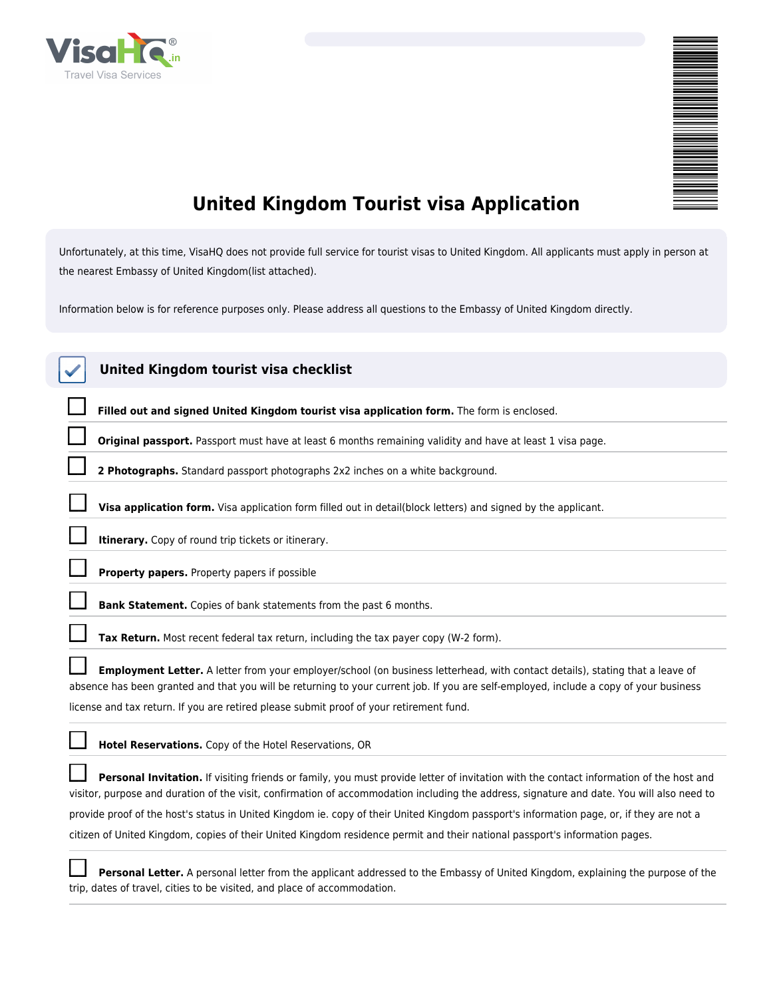

| ₹<br>i<br>III<br>III<br>$\equiv$ |  |
|----------------------------------|--|
|                                  |  |
|                                  |  |
|                                  |  |
|                                  |  |
|                                  |  |
|                                  |  |
|                                  |  |
|                                  |  |
|                                  |  |
|                                  |  |
|                                  |  |
|                                  |  |
|                                  |  |
|                                  |  |
|                                  |  |
|                                  |  |
|                                  |  |
|                                  |  |
|                                  |  |
|                                  |  |
|                                  |  |
|                                  |  |
|                                  |  |
|                                  |  |
|                                  |  |
|                                  |  |
|                                  |  |
|                                  |  |
|                                  |  |
|                                  |  |
|                                  |  |
|                                  |  |
|                                  |  |
|                                  |  |
|                                  |  |
|                                  |  |
|                                  |  |
|                                  |  |
|                                  |  |
|                                  |  |
|                                  |  |
|                                  |  |
|                                  |  |
|                                  |  |
|                                  |  |
|                                  |  |
|                                  |  |
|                                  |  |
|                                  |  |
|                                  |  |
|                                  |  |
|                                  |  |
|                                  |  |
|                                  |  |
|                                  |  |
|                                  |  |
|                                  |  |
|                                  |  |
|                                  |  |
|                                  |  |
|                                  |  |

# **United Kingdom Tourist visa Application**

*Unfortunately, at this time, VisaHQ does not provide full service for tourist visas to United Kingdom. All applicants must apply in person at the nearest Embassy of United Kingdom(list attached).*

*Information below is for reference purposes only. Please address all questions to the Embassy of United Kingdom directly.*

| United Kingdom tourist visa checklist                                                                                                                                                                                                                                                |
|--------------------------------------------------------------------------------------------------------------------------------------------------------------------------------------------------------------------------------------------------------------------------------------|
| Filled out and signed United Kingdom tourist visa application form. The form is enclosed.                                                                                                                                                                                            |
| Original passport. Passport must have at least 6 months remaining validity and have at least 1 visa page.                                                                                                                                                                            |
| 2 Photographs. Standard passport photographs 2x2 inches on a white background.                                                                                                                                                                                                       |
| Visa application form. Visa application form filled out in detail(block letters) and signed by the applicant.                                                                                                                                                                        |
| Itinerary. Copy of round trip tickets or itinerary.                                                                                                                                                                                                                                  |
| Property papers. Property papers if possible                                                                                                                                                                                                                                         |
| Bank Statement. Copies of bank statements from the past 6 months.                                                                                                                                                                                                                    |
| Tax Return. Most recent federal tax return, including the tax payer copy (W-2 form).                                                                                                                                                                                                 |
| Employment Letter. A letter from your employer/school (on business letterhead, with contact details), stating that a leave of<br>absence has been granted and that you will be returning to your current job. If you are self-employed, include a copy of your business              |
| license and tax return. If you are retired please submit proof of your retirement fund.                                                                                                                                                                                              |
| Hotel Reservations. Copy of the Hotel Reservations, OR                                                                                                                                                                                                                               |
| Personal Invitation. If visiting friends or family, you must provide letter of invitation with the contact information of the host and<br>visitor, purpose and duration of the visit, confirmation of accommodation including the address, signature and date. You will also need to |
| provide proof of the host's status in United Kingdom ie. copy of their United Kingdom passport's information page, or, if they are not a                                                                                                                                             |
| citizen of United Kingdom, copies of their United Kingdom residence permit and their national passport's information pages.                                                                                                                                                          |
| Personal Letter. A personal letter from the applicant addressed to the Embassy of United Kingdom, explaining the purpose of the<br>trip, dates of travel, cities to be visited, and place of accommodation.                                                                          |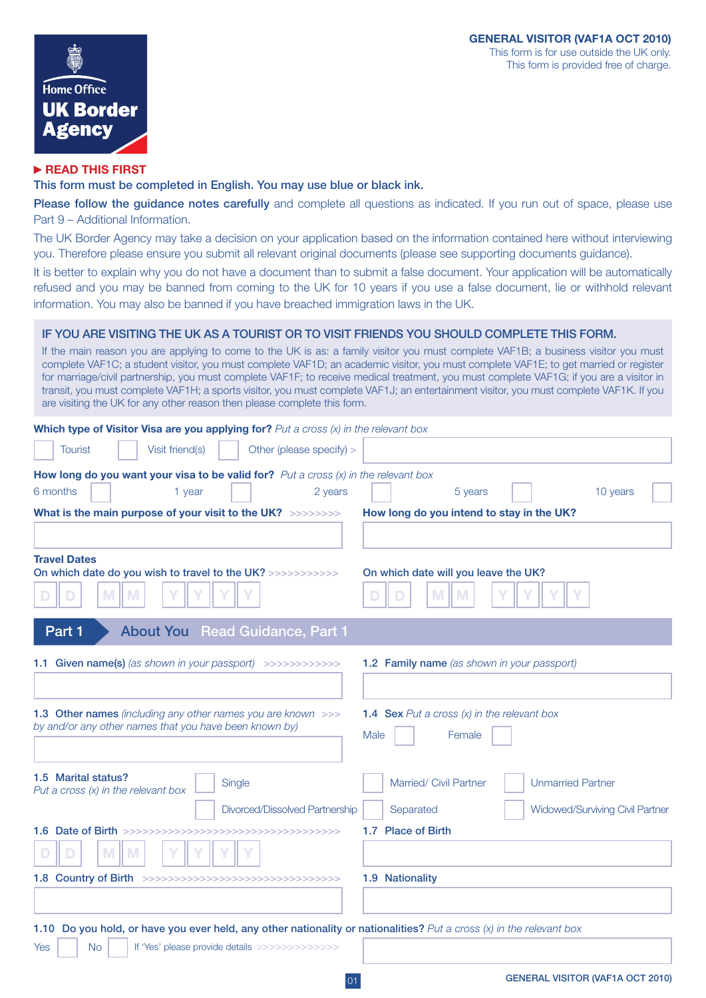

# **READ THIS FIRST**

# This form must be completed in English. You may use blue or black ink.

Please follow the quidance notes carefully and complete all questions as indicated. If you run out of space, please use Part 9 – Additional Information.

The UK Border Agency may take a decision on your application based on the information contained here without interviewing you. Therefore please ensure you submit all relevant original documents (please see supporting documents guidance).

It is better to explain why you do not have a document than to submit a false document. Your application will be automatically refused and you may be banned from coming to the UK for 10 years if you use a false document, lie or withhold relevant information. You may also be banned if you have breached immigration laws in the UK.

# IF YOU ARE VISITING THE UK AS A TOURIST OR TO VISIT FRIENDS YOU SHOULD COMPLETE THIS FORM.

If the main reason you are applying to come to the UK is as: a family visitor you must complete VAF1B; a business visitor you must complete VAF1C; a student visitor, you must complete VAF1D; an academic visitor, you must complete VAF1E; to get married or register for marriage/civil partnership, you must complete VAF1F; to receive medical treatment, you must complete VAF1G; if you are a visitor in transit, you must complete VAF1H; a sports visitor, you must complete VAF1J; an entertainment visitor, you must complete VAF1K. If you are visiting the UK for any other reason then please complete this form.

|                                                              | Which type of Visitor Visa are you applying for? Put a cross $(x)$ in the relevant box                                                                                                |                                           |      |                                                                                                                      |  |  |                                                                    |  |  |  |  |
|--------------------------------------------------------------|---------------------------------------------------------------------------------------------------------------------------------------------------------------------------------------|-------------------------------------------|------|----------------------------------------------------------------------------------------------------------------------|--|--|--------------------------------------------------------------------|--|--|--|--|
| <b>Tourist</b>                                               | Visit friend(s)                                                                                                                                                                       | Other (please specify) >                  |      |                                                                                                                      |  |  |                                                                    |  |  |  |  |
|                                                              | How long do you want your visa to be valid for? Put a cross $(x)$ in the relevant box                                                                                                 |                                           |      |                                                                                                                      |  |  |                                                                    |  |  |  |  |
| 6 months                                                     | 1 year                                                                                                                                                                                | 2 years                                   |      | 5 years                                                                                                              |  |  | 10 years                                                           |  |  |  |  |
| What is the main purpose of your visit to the UK? >>>>>>>>>  |                                                                                                                                                                                       | How long do you intend to stay in the UK? |      |                                                                                                                      |  |  |                                                                    |  |  |  |  |
|                                                              |                                                                                                                                                                                       |                                           |      |                                                                                                                      |  |  |                                                                    |  |  |  |  |
| <b>Travel Dates</b><br>M                                     | On which date do you wish to travel to the UK? >>>>>>>>>>>><br>M                                                                                                                      |                                           |      | On which date will you leave the UK?<br>M<br>M                                                                       |  |  |                                                                    |  |  |  |  |
| Part 1                                                       | <b>About You</b>                                                                                                                                                                      | <b>Read Guidance, Part 1</b>              |      |                                                                                                                      |  |  |                                                                    |  |  |  |  |
|                                                              | 1.1 Given name(s) (as shown in your passport) >>>>>>>>>>>>><br>1.3 Other names (including any other names you are known >>><br>by and/or any other names that you have been known by) |                                           | Male | <b>1.2 Family name</b> (as shown in your passport)<br><b>1.4 Sex</b> Put a cross $(x)$ in the relevant box<br>Female |  |  |                                                                    |  |  |  |  |
| 1.5 Marital status?<br>Put a cross $(x)$ in the relevant box | Single                                                                                                                                                                                | Divorced/Dissolved Partnership            |      | Married/ Civil Partner<br>Separated<br>1.7 Place of Birth                                                            |  |  | <b>Unmarried Partner</b><br><b>Widowed/Surviving Civil Partner</b> |  |  |  |  |
| M<br>D                                                       | M                                                                                                                                                                                     |                                           |      |                                                                                                                      |  |  |                                                                    |  |  |  |  |
|                                                              | 1.8 Country of Birth >>>>>>>>>>>>>>>>>>>>>>>>>>>>>>>>>>>                                                                                                                              |                                           |      | 1.9 Nationality                                                                                                      |  |  |                                                                    |  |  |  |  |
|                                                              |                                                                                                                                                                                       |                                           |      |                                                                                                                      |  |  |                                                                    |  |  |  |  |
|                                                              | 1.10 Do you hold, or have you ever held, any other nationality or nationalities? Put a cross $(x)$ in the relevant box                                                                |                                           |      |                                                                                                                      |  |  |                                                                    |  |  |  |  |
| <b>No</b><br>Yes                                             | If 'Yes' please provide details >>>>>>>>>>>>>>>                                                                                                                                       |                                           |      |                                                                                                                      |  |  |                                                                    |  |  |  |  |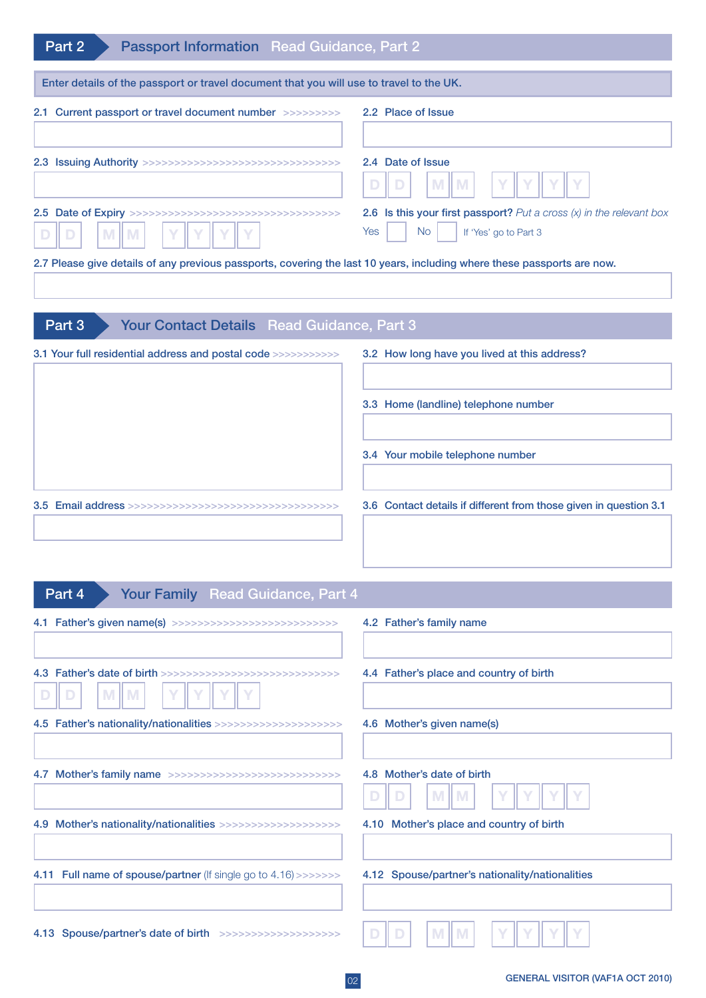| Enter details of the passport or travel document that you will use to travel to the UK.                                       |  |
|-------------------------------------------------------------------------------------------------------------------------------|--|
|                                                                                                                               |  |
|                                                                                                                               |  |
| 2.1 Current passport or travel document number >>>>>>>>>><br>2.2 Place of Issue                                               |  |
|                                                                                                                               |  |
| 2.4 Date of Issue<br>M<br>M                                                                                                   |  |
| 2.6 Is this your first passport? Put a cross $(x)$ in the relevant box<br><b>No</b><br>Yes<br>If 'Yes' go to Part 3<br>M<br>M |  |
| 2.7 Please give details of any previous passports, covering the last 10 years, including where these passports are now.       |  |
|                                                                                                                               |  |
| Your Contact Details Read Guidance, Part 3<br>Part 3                                                                          |  |
| 3.1 Your full residential address and postal code >>>>>>>>>>>><br>3.2 How long have you lived at this address?                |  |
|                                                                                                                               |  |
| 3.3 Home (landline) telephone number                                                                                          |  |
|                                                                                                                               |  |
| 3.4 Your mobile telephone number                                                                                              |  |
|                                                                                                                               |  |
| 3.6 Contact details if different from those given in question 3.1                                                             |  |
|                                                                                                                               |  |
|                                                                                                                               |  |
| Your Family Read Guidance, Part 4<br>Part 4                                                                                   |  |
| 4.1 Father's given name(s) >>>>>>>>>>>>>>>>>>>>>>>>>>>>>>>><br>4.2 Father's family name                                       |  |
|                                                                                                                               |  |
| 4.3 Father's date of birth >>>>>>>>>>>>>>>>>>>>>>>>>>>>>>>>><br>4.4 Father's place and country of birth                       |  |
| M<br>M                                                                                                                        |  |
| 4.5 Father's nationality/nationalities >>>>>>>>>>>>>>>>>>>>>>><br>4.6 Mother's given name(s)                                  |  |
|                                                                                                                               |  |
| 4.8 Mother's date of birth<br>4.7 Mother's family name >>>>>>>>>>>>>>>>>>>>>>>>>>>>>>>>                                       |  |
|                                                                                                                               |  |
| 4.10 Mother's place and country of birth<br>4.9 Mother's nationality/nationalities >>>>>>>>>>>>>>>>>>>>>>                     |  |
|                                                                                                                               |  |
| 4.12 Spouse/partner's nationality/nationalities<br>4.11 Full name of spouse/partner (If single go to 4.16) >>>>>>>>           |  |
|                                                                                                                               |  |
|                                                                                                                               |  |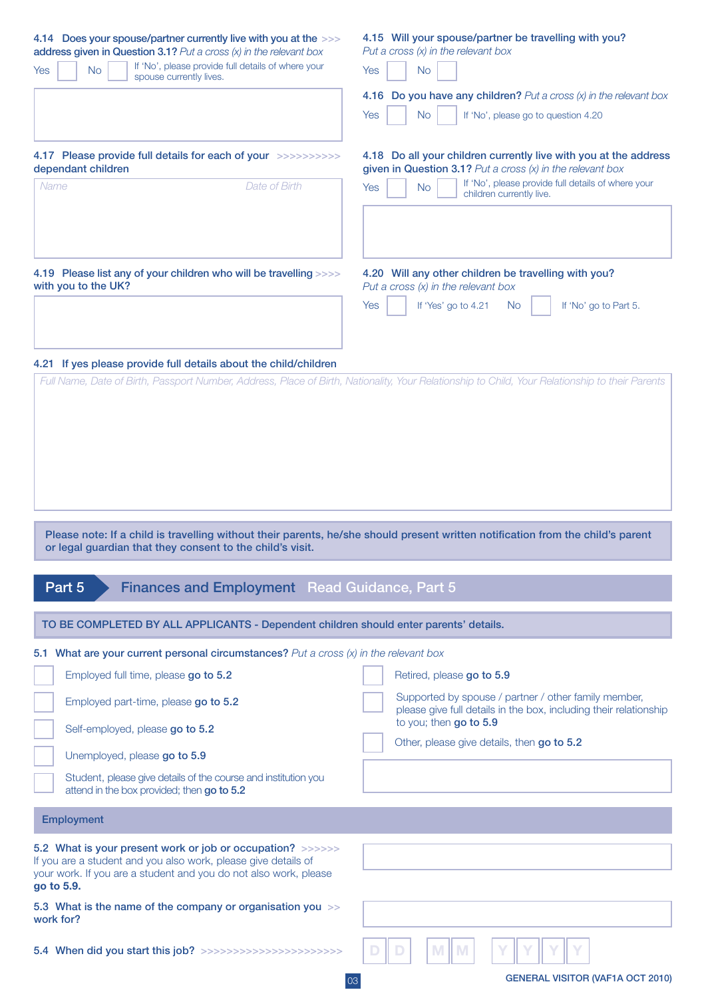| 4.14 Does your spouse/partner currently live with you at the >>><br>address given in Question 3.1? Put a cross (x) in the relevant box<br>If 'No', please provide full details of where your<br>Yes<br><b>No</b><br>spouse currently lives.<br>4.17 Please provide full details for each of your >>>>>>>>>>><br>dependant children<br>Date of Birth<br>Name | 4.15 Will your spouse/partner be travelling with you?<br>Put a cross $(x)$ in the relevant box<br><b>Yes</b><br><b>No</b><br><b>4.16 Do you have any children?</b> Put a cross $(x)$ in the relevant box<br><b>Yes</b><br><b>No</b><br>If 'No', please go to question 4.20<br>4.18 Do all your children currently live with you at the address<br>given in Question 3.1? Put a cross $(x)$ in the relevant box<br>If 'No', please provide full details of where your<br><b>Yes</b><br><b>No</b><br>children currently live. |
|-------------------------------------------------------------------------------------------------------------------------------------------------------------------------------------------------------------------------------------------------------------------------------------------------------------------------------------------------------------|-----------------------------------------------------------------------------------------------------------------------------------------------------------------------------------------------------------------------------------------------------------------------------------------------------------------------------------------------------------------------------------------------------------------------------------------------------------------------------------------------------------------------------|
| 4.19 Please list any of your children who will be travelling >>>><br>with you to the UK?                                                                                                                                                                                                                                                                    | 4.20 Will any other children be travelling with you?<br>Put a cross $(x)$ in the relevant box<br><b>Yes</b><br>If 'Yes' go to 4.21<br>No.<br>If 'No' go to Part 5.                                                                                                                                                                                                                                                                                                                                                          |
| Please note: If a child is travelling without their parents, he/she should present written notification from the child's parent<br>or legal guardian that they consent to the child's visit.                                                                                                                                                                | Full Name, Date of Birth, Passport Number, Address, Place of Birth, Nationality, Your Relationship to Child, Your Relationship to their Parents                                                                                                                                                                                                                                                                                                                                                                             |
| Part 5<br><b>Finances and Employment</b> Read Guidance, Part 5                                                                                                                                                                                                                                                                                              |                                                                                                                                                                                                                                                                                                                                                                                                                                                                                                                             |
| TO BE COMPLETED BY ALL APPLICANTS - Dependent children should enter parents' details.                                                                                                                                                                                                                                                                       |                                                                                                                                                                                                                                                                                                                                                                                                                                                                                                                             |
| 5.1 What are your current personal circumstances? Put a cross (x) in the relevant box<br>Employed full time, please go to 5.2<br>Employed part-time, please go to 5.2<br>Self-employed, please go to 5.2<br>Unemployed, please go to 5.9                                                                                                                    | Retired, please go to 5.9<br>Supported by spouse / partner / other family member,<br>please give full details in the box, including their relationship<br>to you; then go to 5.9<br>Other, please give details, then go to 5.2                                                                                                                                                                                                                                                                                              |
| Student, please give details of the course and institution you<br>attend in the box provided; then go to 5.2                                                                                                                                                                                                                                                |                                                                                                                                                                                                                                                                                                                                                                                                                                                                                                                             |
| <b>Employment</b>                                                                                                                                                                                                                                                                                                                                           |                                                                                                                                                                                                                                                                                                                                                                                                                                                                                                                             |
| 5.2 What is your present work or job or occupation? >>>>>>><br>If you are a student and you also work, please give details of<br>your work. If you are a student and you do not also work, please<br>go to 5.9.                                                                                                                                             |                                                                                                                                                                                                                                                                                                                                                                                                                                                                                                                             |
| 5.3 What is the name of the company or organisation you >><br>work for?                                                                                                                                                                                                                                                                                     |                                                                                                                                                                                                                                                                                                                                                                                                                                                                                                                             |
| 5.4 When did you start this job? >>>>>>>>>>>>>>>>>>>>>>>>>>                                                                                                                                                                                                                                                                                                 | M                                                                                                                                                                                                                                                                                                                                                                                                                                                                                                                           |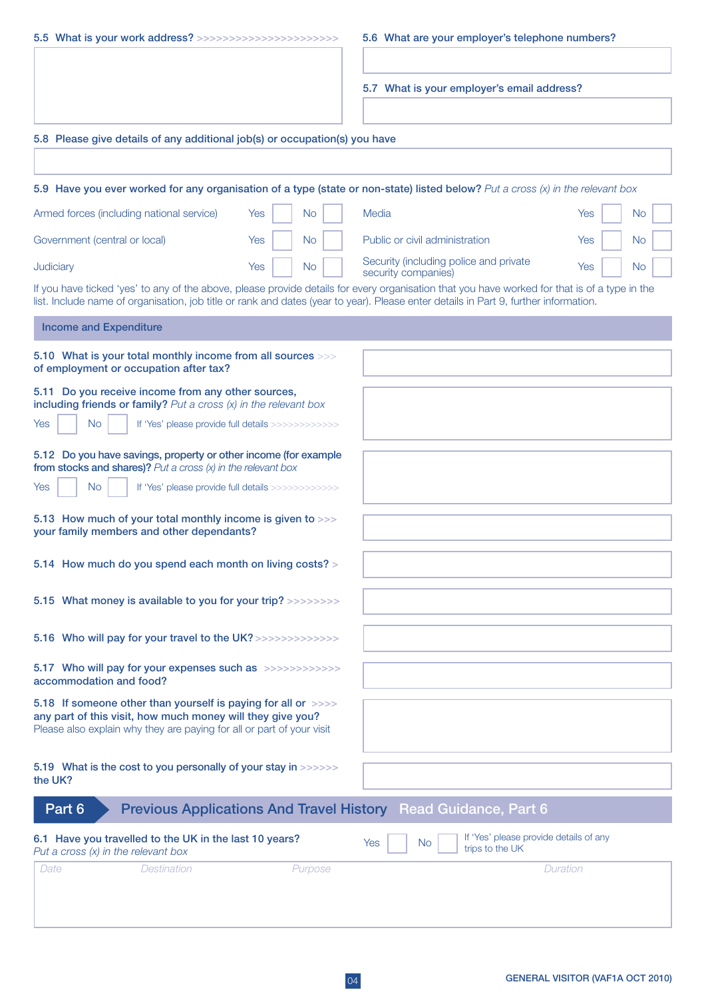| 5.5 What is your work address? >>>>>>>>>>>>>>>>>>>>>>>>>>>                                                                                                                                           |                  | 5.6 What are your employer's telephone numbers?                                                                                                                                                                                                                                       |                         |
|------------------------------------------------------------------------------------------------------------------------------------------------------------------------------------------------------|------------------|---------------------------------------------------------------------------------------------------------------------------------------------------------------------------------------------------------------------------------------------------------------------------------------|-------------------------|
|                                                                                                                                                                                                      |                  |                                                                                                                                                                                                                                                                                       |                         |
|                                                                                                                                                                                                      |                  | 5.7 What is your employer's email address?                                                                                                                                                                                                                                            |                         |
|                                                                                                                                                                                                      |                  |                                                                                                                                                                                                                                                                                       |                         |
| 5.8 Please give details of any additional job(s) or occupation(s) you have                                                                                                                           |                  |                                                                                                                                                                                                                                                                                       |                         |
|                                                                                                                                                                                                      |                  |                                                                                                                                                                                                                                                                                       |                         |
|                                                                                                                                                                                                      |                  |                                                                                                                                                                                                                                                                                       |                         |
|                                                                                                                                                                                                      |                  | 5.9 Have you ever worked for any organisation of a type (state or non-state) listed below? Put a cross (x) in the relevant box                                                                                                                                                        |                         |
| Armed forces (including national service)                                                                                                                                                            | <b>No</b><br>Yes | Media                                                                                                                                                                                                                                                                                 | <b>Yes</b><br><b>No</b> |
| Government (central or local)                                                                                                                                                                        | <b>No</b><br>Yes | Public or civil administration                                                                                                                                                                                                                                                        | Yes<br>No               |
| Judiciary                                                                                                                                                                                            | <b>No</b><br>Yes | Security (including police and private<br>security companies)                                                                                                                                                                                                                         | Yes<br><b>No</b>        |
|                                                                                                                                                                                                      |                  | If you have ticked 'yes' to any of the above, please provide details for every organisation that you have worked for that is of a type in the<br>list. Include name of organisation, job title or rank and dates (year to year). Please enter details in Part 9, further information. |                         |
| <b>Income and Expenditure</b>                                                                                                                                                                        |                  |                                                                                                                                                                                                                                                                                       |                         |
| 5.10 What is your total monthly income from all sources >>><br>of employment or occupation after tax?                                                                                                |                  |                                                                                                                                                                                                                                                                                       |                         |
| 5.11 Do you receive income from any other sources,<br>including friends or family? Put a cross $(x)$ in the relevant box                                                                             |                  |                                                                                                                                                                                                                                                                                       |                         |
| <b>No</b><br>Yes<br>If 'Yes' please provide full details >>>>>>>>>>>>>                                                                                                                               |                  |                                                                                                                                                                                                                                                                                       |                         |
| 5.12 Do you have savings, property or other income (for example<br>from stocks and shares)? Put a cross $(x)$ in the relevant box                                                                    |                  |                                                                                                                                                                                                                                                                                       |                         |
| <b>No</b><br>Yes<br>If 'Yes' please provide full details >>>>>>>>>>>>>                                                                                                                               |                  |                                                                                                                                                                                                                                                                                       |                         |
| 5.13 How much of your total monthly income is given to >>><br>your family members and other dependants?                                                                                              |                  |                                                                                                                                                                                                                                                                                       |                         |
| 5.14 How much do you spend each month on living costs? >                                                                                                                                             |                  |                                                                                                                                                                                                                                                                                       |                         |
| 5.15 What money is available to you for your trip? >>>>>>>>>                                                                                                                                         |                  |                                                                                                                                                                                                                                                                                       |                         |
| 5.16 Who will pay for your travel to the UK?>>>>>>>>>>>>>>                                                                                                                                           |                  |                                                                                                                                                                                                                                                                                       |                         |
| 5.17 Who will pay for your expenses such as >>>>>>>>>>>>>><br>accommodation and food?                                                                                                                |                  |                                                                                                                                                                                                                                                                                       |                         |
| 5.18 If someone other than yourself is paying for all or >>>><br>any part of this visit, how much money will they give you?<br>Please also explain why they are paying for all or part of your visit |                  |                                                                                                                                                                                                                                                                                       |                         |
| 5.19 What is the cost to you personally of your stay in >>>>>>><br>the UK?                                                                                                                           |                  |                                                                                                                                                                                                                                                                                       |                         |
| Part 6                                                                                                                                                                                               |                  | <b>Previous Applications And Travel History Read Guidance, Part 6</b>                                                                                                                                                                                                                 |                         |
| 6.1 Have you travelled to the UK in the last 10 years?<br>Put a cross $(x)$ in the relevant box                                                                                                      |                  | If 'Yes' please provide details of any<br>Yes<br>No.<br>trips to the UK                                                                                                                                                                                                               |                         |
| <b>Destination</b><br>Date                                                                                                                                                                           | Purpose          |                                                                                                                                                                                                                                                                                       | Duration                |
|                                                                                                                                                                                                      |                  |                                                                                                                                                                                                                                                                                       |                         |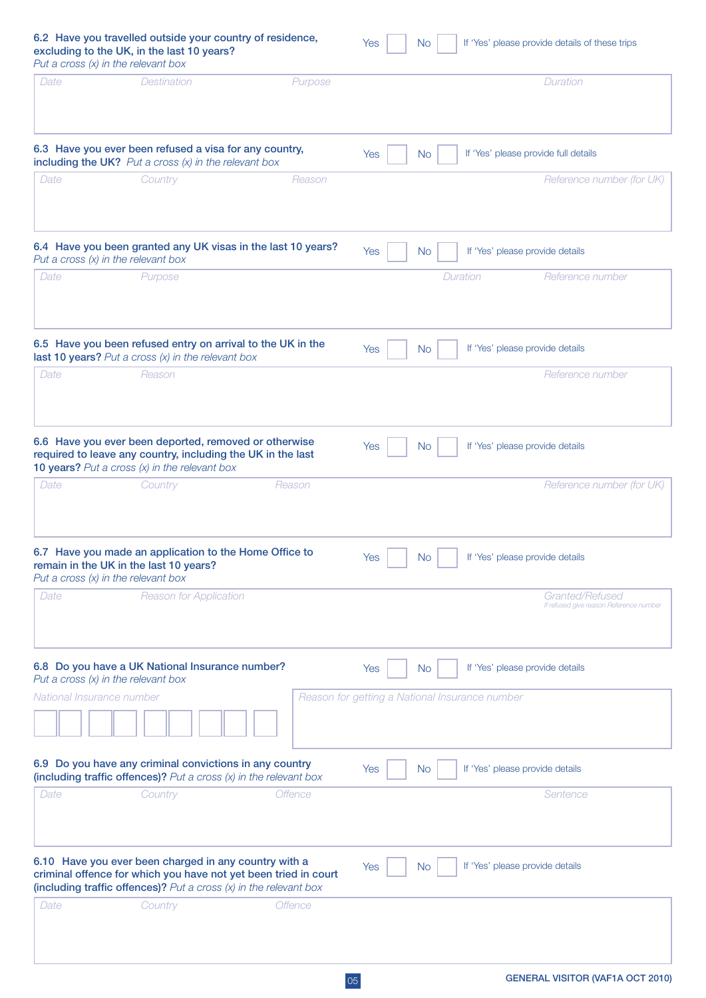| Put a cross $(x)$ in the relevant box | 6.2 Have you travelled outside your country of residence,<br>excluding to the UK, in the last 10 years?                                                                        |                                                                 | <b>Yes</b> | <b>No</b> | If 'Yes' please provide details of these trips             |
|---------------------------------------|--------------------------------------------------------------------------------------------------------------------------------------------------------------------------------|-----------------------------------------------------------------|------------|-----------|------------------------------------------------------------|
| Date                                  | <b>Destination</b>                                                                                                                                                             | Purpose                                                         |            |           | Duration                                                   |
|                                       | 6.3 Have you ever been refused a visa for any country,<br>including the UK? Put a cross $(x)$ in the relevant box                                                              |                                                                 | Yes        | <b>No</b> | If 'Yes' please provide full details                       |
| Date                                  | Country                                                                                                                                                                        | Reason                                                          |            |           | Reference number (for UK)                                  |
| Put a cross $(x)$ in the relevant box |                                                                                                                                                                                | 6.4 Have you been granted any UK visas in the last 10 years?    | Yes        | <b>No</b> | If 'Yes' please provide details                            |
| Date                                  | Purpose                                                                                                                                                                        |                                                                 |            |           | Duration<br>Reference number                               |
|                                       | 6.5 Have you been refused entry on arrival to the UK in the<br>last 10 years? Put a cross $(x)$ in the relevant box                                                            |                                                                 | Yes        | No        | If 'Yes' please provide details                            |
| Date                                  | Reason                                                                                                                                                                         |                                                                 |            |           | Reference number                                           |
|                                       | 6.6 Have you ever been deported, removed or otherwise<br>required to leave any country, including the UK in the last<br><b>10 years?</b> Put a cross $(x)$ in the relevant box |                                                                 | Yes        | No.       | If 'Yes' please provide details                            |
| Date                                  | Country                                                                                                                                                                        | Reason                                                          |            |           | Reference number (for UK)                                  |
| Put a cross $(x)$ in the relevant box | 6.7 Have you made an application to the Home Office to<br>remain in the UK in the last 10 years?                                                                               |                                                                 | Yes        | No.       | If 'Yes' please provide details                            |
| Date                                  | <b>Reason for Application</b>                                                                                                                                                  |                                                                 |            |           | Granted/Refused<br>If refused give reason Reference number |
| Put a cross $(x)$ in the relevant box | 6.8 Do you have a UK National Insurance number?                                                                                                                                |                                                                 | Yes        | <b>No</b> | If 'Yes' please provide details                            |
| National Insurance number             |                                                                                                                                                                                |                                                                 |            |           | Reason for getting a National Insurance number             |
|                                       | 6.9 Do you have any criminal convictions in any country<br>(including traffic offences)? Put a cross $(x)$ in the relevant box                                                 |                                                                 | <b>Yes</b> | No.       | If 'Yes' please provide details                            |
| Date                                  | Country                                                                                                                                                                        | <b>Offence</b>                                                  |            |           | Sentence                                                   |
|                                       | 6.10 Have you ever been charged in any country with a<br>(including traffic offences)? Put a cross $(x)$ in the relevant box                                                   | criminal offence for which you have not yet been tried in court | <b>Yes</b> | No.       | If 'Yes' please provide details                            |
| Date                                  | Country                                                                                                                                                                        | <b>Offence</b>                                                  |            |           |                                                            |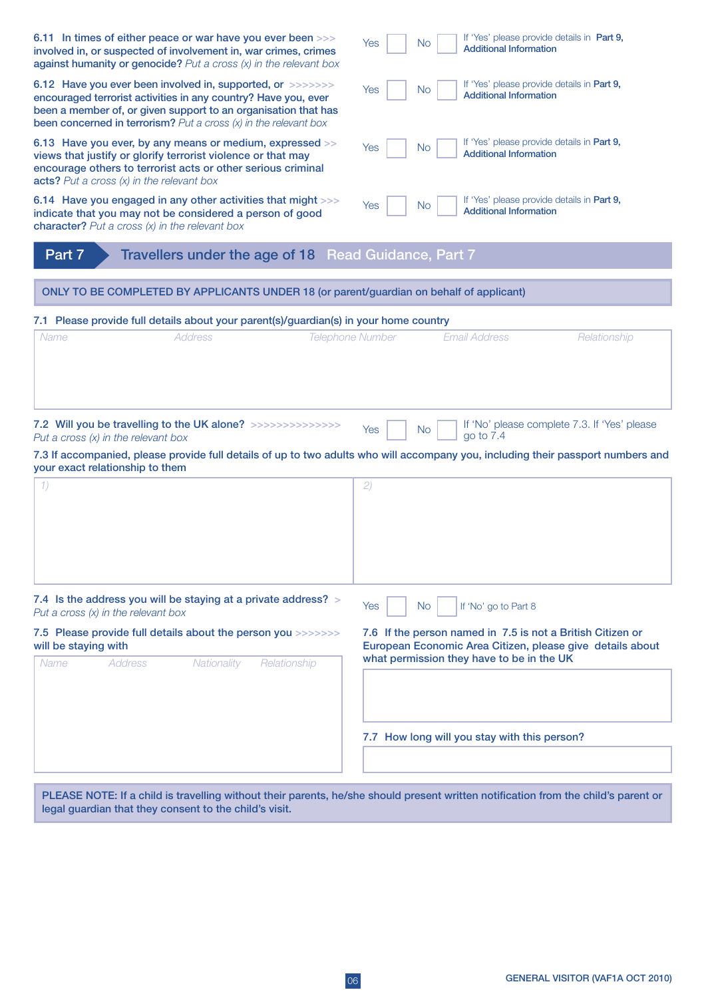| 6.11 In times of either peace or war have you ever been >>><br>involved in, or suspected of involvement in, war crimes, crimes<br>against humanity or genocide? Put a cross $(x)$ in the relevant box                                                                 | If 'Yes' please provide details in Part 9,<br>Yes<br><b>No</b><br><b>Additional Information</b>                                                                      |
|-----------------------------------------------------------------------------------------------------------------------------------------------------------------------------------------------------------------------------------------------------------------------|----------------------------------------------------------------------------------------------------------------------------------------------------------------------|
| 6.12 Have you ever been involved in, supported, or >>>>>>>><br>encouraged terrorist activities in any country? Have you, ever<br>been a member of, or given support to an organisation that has<br>been concerned in terrorism? Put a cross $(x)$ in the relevant box | If 'Yes' please provide details in Part 9,<br>Yes<br><b>No</b><br><b>Additional Information</b>                                                                      |
| 6.13 Have you ever, by any means or medium, expressed >><br>views that justify or glorify terrorist violence or that may<br>encourage others to terrorist acts or other serious criminal<br>acts? Put a cross $(x)$ in the relevant box                               | If 'Yes' please provide details in Part 9,<br>Yes<br>N <sub>o</sub><br><b>Additional Information</b>                                                                 |
| 6.14 Have you engaged in any other activities that might >>><br>indicate that you may not be considered a person of good<br>character? Put a cross $(x)$ in the relevant box                                                                                          | If 'Yes' please provide details in Part 9,<br>Yes<br>N <sub>o</sub><br><b>Additional Information</b>                                                                 |
| Part 7<br>Travellers under the age of 18 Read Guidance, Part 7                                                                                                                                                                                                        |                                                                                                                                                                      |
| ONLY TO BE COMPLETED BY APPLICANTS UNDER 18 (or parent/guardian on behalf of applicant)                                                                                                                                                                               |                                                                                                                                                                      |
| 7.1 Please provide full details about your parent(s)/guardian(s) in your home country                                                                                                                                                                                 |                                                                                                                                                                      |
| <b>Address</b><br>Name                                                                                                                                                                                                                                                | <b>Telephone Number</b><br><b>Email Address</b><br>Relationship                                                                                                      |
|                                                                                                                                                                                                                                                                       |                                                                                                                                                                      |
| Put a cross $(x)$ in the relevant box                                                                                                                                                                                                                                 | If 'No' please complete 7.3. If 'Yes' please<br>Yes<br>No.<br>go to 7.4                                                                                              |
| 7.3 If accompanied, please provide full details of up to two adults who will accompany you, including their passport numbers and<br>your exact relationship to them                                                                                                   |                                                                                                                                                                      |
| 1)                                                                                                                                                                                                                                                                    | (2)                                                                                                                                                                  |
|                                                                                                                                                                                                                                                                       |                                                                                                                                                                      |
|                                                                                                                                                                                                                                                                       |                                                                                                                                                                      |
|                                                                                                                                                                                                                                                                       |                                                                                                                                                                      |
| 7.4 Is the address you will be staying at a private address? ><br>Put a cross $(x)$ in the relevant box                                                                                                                                                               | If 'No' go to Part 8<br><b>No</b><br>Yes                                                                                                                             |
| 7.5 Please provide full details about the person you >>>>>>>><br>will be staying with<br><b>Name</b><br>Address                                                                                                                                                       | 7.6 If the person named in 7.5 is not a British Citizen or<br>European Economic Area Citizen, please give details about<br>what permission they have to be in the UK |
| Nationality<br>Relationship                                                                                                                                                                                                                                           |                                                                                                                                                                      |
|                                                                                                                                                                                                                                                                       | 7.7 How long will you stay with this person?                                                                                                                         |
|                                                                                                                                                                                                                                                                       |                                                                                                                                                                      |

PLEASE NOTE: If a child is travelling without their parents, he/she should present written notification from the child's parent or legal guardian that they consent to the child's visit.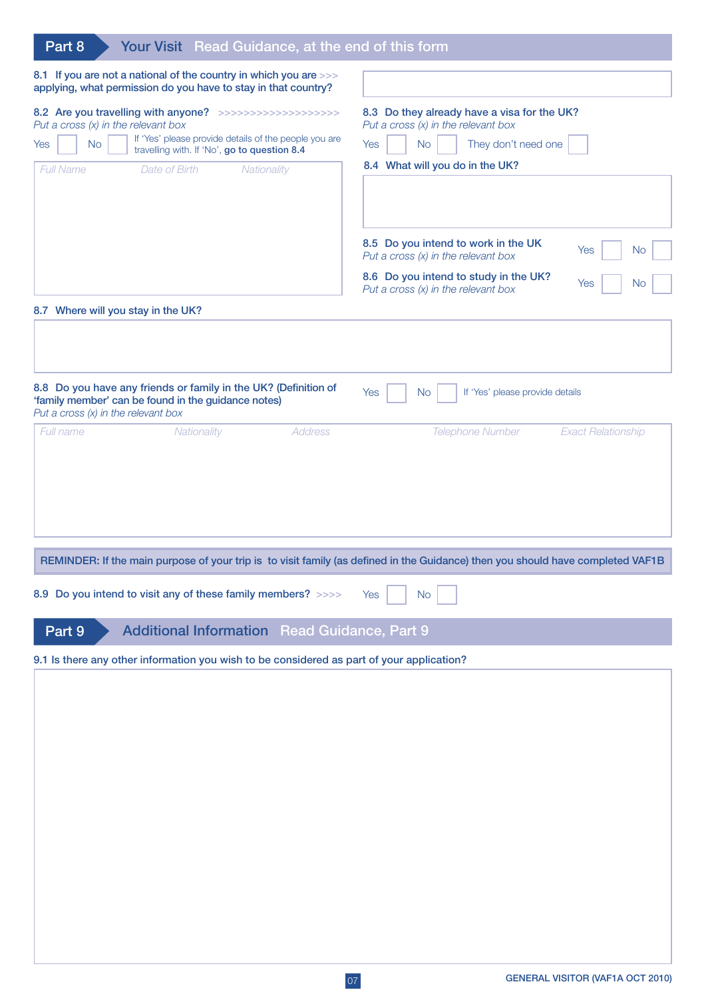| Part 8<br>Your Visit Read Guidance, at the end of this form                                                                                                                                                                                                                   |                                                                                                                                                                                                        |
|-------------------------------------------------------------------------------------------------------------------------------------------------------------------------------------------------------------------------------------------------------------------------------|--------------------------------------------------------------------------------------------------------------------------------------------------------------------------------------------------------|
| 8.1 If you are not a national of the country in which you are >>><br>applying, what permission do you have to stay in that country?                                                                                                                                           |                                                                                                                                                                                                        |
| 8.2 Are you travelling with anyone? >>>>>>>>>>>>>>>>>>>>>><br>Put a cross $(x)$ in the relevant box<br>If 'Yes' please provide details of the people you are<br><b>No</b><br>Yes<br>travelling with. If 'No', go to question 8.4<br>Full Name<br>Date of Birth<br>Nationality | 8.3 Do they already have a visa for the UK?<br>Put a cross $(x)$ in the relevant box<br>No<br>They don't need one<br>Yes<br>8.4 What will you do in the UK?                                            |
| 8.7 Where will you stay in the UK?                                                                                                                                                                                                                                            | 8.5 Do you intend to work in the UK<br><b>No</b><br>Yes<br>Put a cross $(x)$ in the relevant box<br>8.6 Do you intend to study in the UK?<br>Yes<br><b>No</b><br>Put a cross $(x)$ in the relevant box |
|                                                                                                                                                                                                                                                                               |                                                                                                                                                                                                        |
| 8.8 Do you have any friends or family in the UK? (Definition of<br>'family member' can be found in the guidance notes)<br>Put a cross $(x)$ in the relevant box                                                                                                               | Yes<br><b>No</b><br>If 'Yes' please provide details                                                                                                                                                    |
|                                                                                                                                                                                                                                                                               | REMINDER: If the main purpose of your trip is to visit family (as defined in the Guidance) then you should have completed VAF1B                                                                        |
| 8.9 Do you intend to visit any of these family members? >>>>                                                                                                                                                                                                                  | <b>No</b><br>Yes                                                                                                                                                                                       |
| Part 9<br><b>Additional Information Read Guidance, Part 9</b>                                                                                                                                                                                                                 |                                                                                                                                                                                                        |
| 9.1 Is there any other information you wish to be considered as part of your application?                                                                                                                                                                                     |                                                                                                                                                                                                        |
|                                                                                                                                                                                                                                                                               |                                                                                                                                                                                                        |
|                                                                                                                                                                                                                                                                               |                                                                                                                                                                                                        |
|                                                                                                                                                                                                                                                                               |                                                                                                                                                                                                        |
|                                                                                                                                                                                                                                                                               |                                                                                                                                                                                                        |
|                                                                                                                                                                                                                                                                               |                                                                                                                                                                                                        |
|                                                                                                                                                                                                                                                                               |                                                                                                                                                                                                        |
|                                                                                                                                                                                                                                                                               |                                                                                                                                                                                                        |
|                                                                                                                                                                                                                                                                               |                                                                                                                                                                                                        |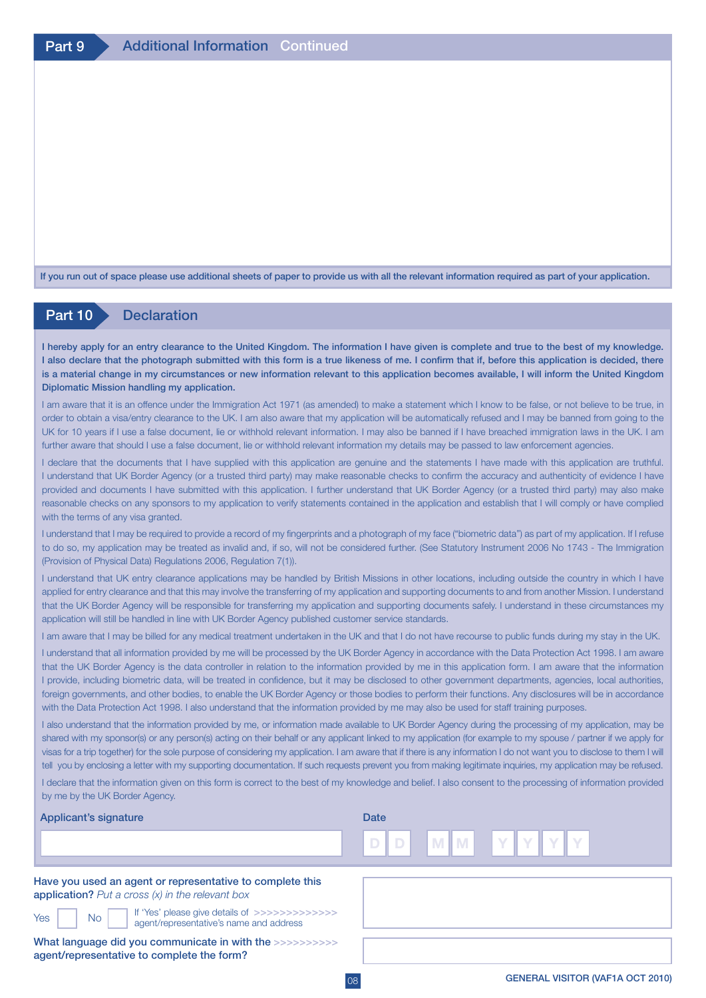If you run out of space please use additional sheets of paper to provide us with all the relevant information required as part of your application.

# Part 10 Declaration

I hereby apply for an entry clearance to the United Kingdom. The information I have given is complete and true to the best of my knowledge. I also declare that the photograph submitted with this form is a true likeness of me. I confirm that if, before this application is decided, there is a material change in my circumstances or new information relevant to this application becomes available, I will inform the United Kingdom Diplomatic Mission handling my application.

I am aware that it is an offence under the Immigration Act 1971 (as amended) to make a statement which I know to be false, or not believe to be true, in order to obtain a visa/entry clearance to the UK. I am also aware that my application will be automatically refused and I may be banned from going to the UK for 10 years if I use a false document, lie or withhold relevant information. I may also be banned if I have breached immigration laws in the UK. I am further aware that should I use a false document, lie or withhold relevant information my details may be passed to law enforcement agencies.

I declare that the documents that I have supplied with this application are genuine and the statements I have made with this application are truthful. I understand that UK Border Agency (or a trusted third party) may make reasonable checks to confirm the accuracy and authenticity of evidence I have provided and documents I have submitted with this application. I further understand that UK Border Agency (or a trusted third party) may also make reasonable checks on any sponsors to my application to verify statements contained in the application and establish that I will comply or have complied with the terms of any visa granted.

I understand that I may be required to provide a record of my fingerprints and a photograph of my face ("biometric data") as part of my application. If I refuse to do so, my application may be treated as invalid and, if so, will not be considered further. (See Statutory Instrument 2006 No 1743 - The Immigration (Provision of Physical Data) Regulations 2006, Regulation 7(1)).

I understand that UK entry clearance applications may be handled by British Missions in other locations, including outside the country in which I have applied for entry clearance and that this may involve the transferring of my application and supporting documents to and from another Mission. I understand that the UK Border Agency will be responsible for transferring my application and supporting documents safely. I understand in these circumstances my application will still be handled in line with UK Border Agency published customer service standards.

I am aware that I may be billed for any medical treatment undertaken in the UK and that I do not have recourse to public funds during my stay in the UK.

I understand that all information provided by me will be processed by the UK Border Agency in accordance with the Data Protection Act 1998. I am aware that the UK Border Agency is the data controller in relation to the information provided by me in this application form. I am aware that the information I provide, including biometric data, will be treated in confidence, but it may be disclosed to other government departments, agencies, local authorities, foreign governments, and other bodies, to enable the UK Border Agency or those bodies to perform their functions. Any disclosures will be in accordance with the Data Protection Act 1998. I also understand that the information provided by me may also be used for staff training purposes.

I also understand that the information provided by me, or information made available to UK Border Agency during the processing of my application, may be shared with my sponsor(s) or any person(s) acting on their behalf or any applicant linked to my application (for example to my spouse / partner if we apply for visas for a trip together) for the sole purpose of considering my application. I am aware that if there is any information I do not want you to disclose to them I will tell you by enclosing a letter with my supporting documentation. If such requests prevent you from making legitimate inquiries, my application may be refused.

I declare that the information given on this form is correct to the best of my knowledge and belief. I also consent to the processing of information provided by me by the UK Border Agency.

| 's signature | Date                   |   |                                    |              |  |   |  |  |  |
|--------------|------------------------|---|------------------------------------|--------------|--|---|--|--|--|
|              | <b>Contract</b><br>. . | v | m.<br>$\overline{a}$<br><b>IVI</b> | and the<br>. |  | I |  |  |  |

Have you used an agent or representative to complete this application? *Put a cross (x) in the relevant box*

**Applicant** 

 $Yes$   $No$ 

If 'Yes' please give details of >>>>>>>>>>>>> agent/representative's name and address

What language did you communicate in with the >>>>>>>>>>> agent/representative to complete the form?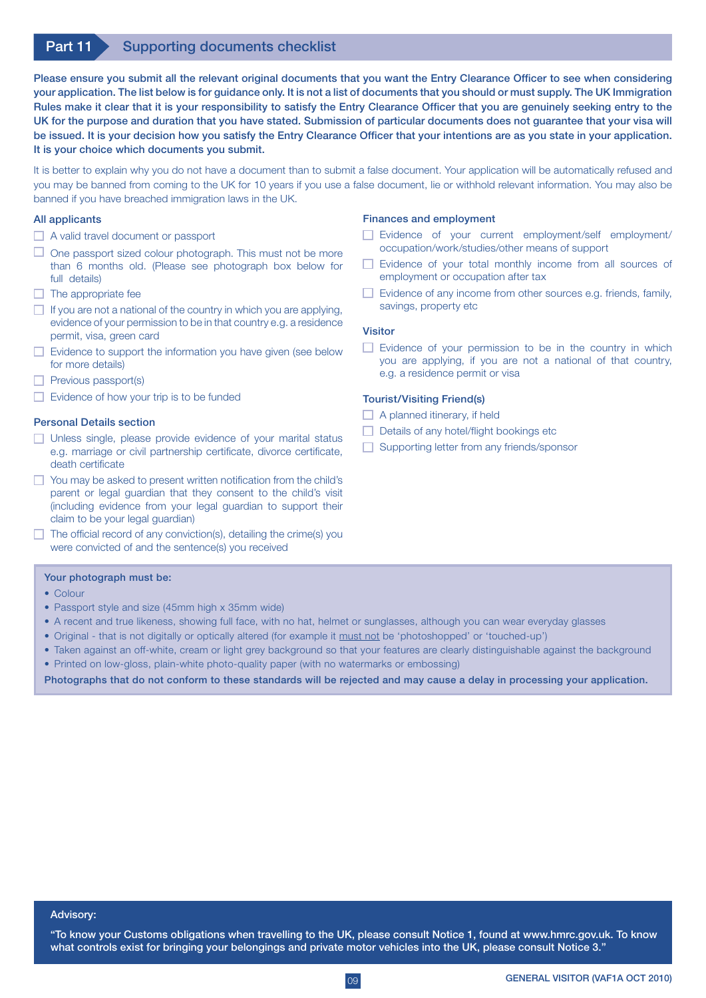# Part 11 Supporting documents checklist

Please ensure you submit all the relevant original documents that you want the Entry Clearance Officer to see when considering your application. The list below is for guidance only. It is not a list of documents that you should or must supply. The UK Immigration Rules make it clear that it is your responsibility to satisfy the Entry Clearance Officer that you are genuinely seeking entry to the UK for the purpose and duration that you have stated. Submission of particular documents does not guarantee that your visa will be issued. It is your decision how you satisfy the Entry Clearance Officer that your intentions are as you state in your application. It is your choice which documents you submit.

It is better to explain why you do not have a document than to submit a false document. Your application will be automatically refused and you may be banned from coming to the UK for 10 years if you use a false document, lie or withhold relevant information. You may also be banned if you have breached immigration laws in the UK.

## All applicants

- $\Box$  A valid travel document or passport
- $\Box$  One passport sized colour photograph. This must not be more than 6 months old. (Please see photograph box below for full details)
- $\Box$  The appropriate fee
- $\Box$  If you are not a national of the country in which you are applying, evidence of your permission to be in that country e.g. a residence permit, visa, green card
- $\Box$  Evidence to support the information you have given (see below for more details)
- $\Box$  Previous passport(s)
- $\Box$  Evidence of how your trip is to be funded

## Personal Details section

- **Unless single, please provide evidence of your marital status** e.g. marriage or civil partnership certificate, divorce certificate, death certificate
- $\Box$  You may be asked to present written notification from the child's parent or legal guardian that they consent to the child's visit (including evidence from your legal guardian to support their claim to be your legal guardian)
- $\Box$  The official record of any conviction(s), detailing the crime(s) you were convicted of and the sentence(s) you received

#### Your photograph must be:

- Colour
- Passport style and size (45mm high x 35mm wide)
- A recent and true likeness, showing full face, with no hat, helmet or sunglasses, although you can wear everyday glasses
- • Original that is not digitally or optically altered (for example it must not be 'photoshopped' or 'touched-up')
- Taken against an off-white, cream or light grey background so that your features are clearly distinguishable against the background • Printed on low-gloss, plain-white photo-quality paper (with no watermarks or embossing)

Photographs that do not conform to these standards will be rejected and may cause a delay in processing your application.

#### Finances and employment

- Evidence of your current employment/self employment/ occupation/work/studies/other means of support
- Evidence of your total monthly income from all sources of employment or occupation after tax
- $\Box$  Evidence of any income from other sources e.g. friends, family, savings, property etc

## Visitor

 $\Box$  Evidence of your permission to be in the country in which you are applying, if you are not a national of that country, e.g. a residence permit or visa

## Tourist/Visiting Friend(s)

- $\Box$  A planned itinerary, if held
- $\Box$  Details of any hotel/flight bookings etc
- Supporting letter from any friends/sponsor

#### Advisory:

"To know your Customs obligations when travelling to the UK, please consult Notice 1, found at www.hmrc.gov.uk. To know what controls exist for bringing your belongings and private motor vehicles into the UK, please consult Notice 3."